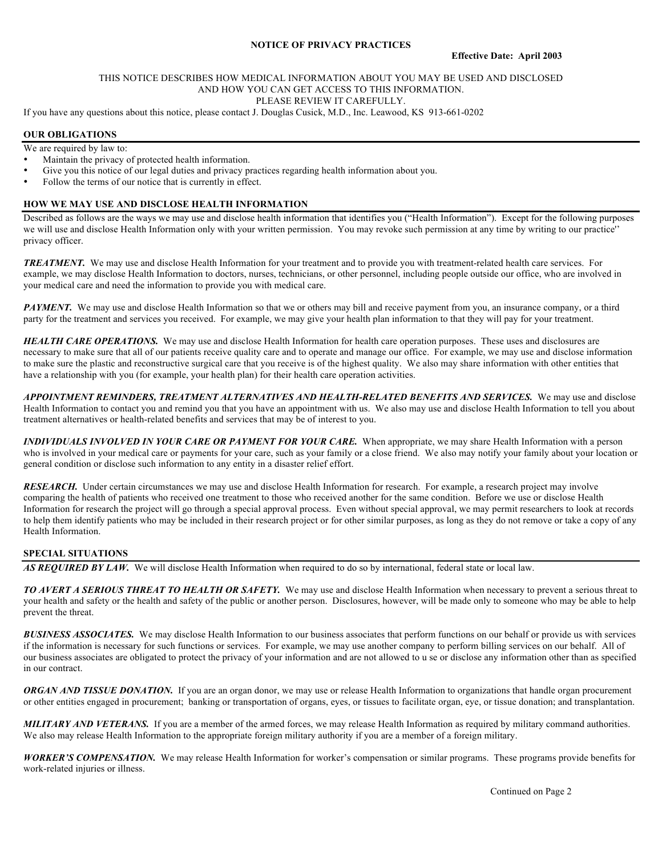## **NOTICE OF PRIVACY PRACTICES**

#### THIS NOTICE DESCRIBES HOW MEDICAL INFORMATION ABOUT YOU MAY BE USED AND DISCLOSED AND HOW YOU CAN GET ACCESS TO THIS INFORMATION. PLEASE REVIEW IT CAREFULLY.

If you have any questions about this notice, please contact J. Douglas Cusick, M.D., Inc. Leawood, KS 913-661-0202

### **OUR OBLIGATIONS**

We are required by law to:

- Maintain the privacy of protected health information.
- Give you this notice of our legal duties and privacy practices regarding health information about you.
- Follow the terms of our notice that is currently in effect.

### **HOW WE MAY USE AND DISCLOSE HEALTH INFORMATION**

Described as follows are the ways we may use and disclose health information that identifies you ("Health Information"). Except for the following purposes we will use and disclose Health Information only with your written permission. You may revoke such permission at any time by writing to our practice'' privacy officer.

*TREATMENT.* We may use and disclose Health Information for your treatment and to provide you with treatment-related health care services. For example, we may disclose Health Information to doctors, nurses, technicians, or other personnel, including people outside our office, who are involved in your medical care and need the information to provide you with medical care.

**PAYMENT.** We may use and disclose Health Information so that we or others may bill and receive payment from you, an insurance company, or a third party for the treatment and services you received. For example, we may give your health plan information to that they will pay for your treatment.

*HEALTH CARE OPERATIONS.* We may use and disclose Health Information for health care operation purposes. These uses and disclosures are necessary to make sure that all of our patients receive quality care and to operate and manage our office. For example, we may use and disclose information to make sure the plastic and reconstructive surgical care that you receive is of the highest quality. We also may share information with other entities that have a relationship with you (for example, your health plan) for their health care operation activities.

*APPOINTMENT REMINDERS, TREATMENT ALTERNATIVES AND HEALTH-RELATED BENEFITS AND SERVICES.* We may use and disclose Health Information to contact you and remind you that you have an appointment with us. We also may use and disclose Health Information to tell you about treatment alternatives or health-related benefits and services that may be of interest to you.

*INDIVIDUALS INVOLVED IN YOUR CARE OR PAYMENT FOR YOUR CARE.* When appropriate, we may share Health Information with a person who is involved in your medical care or payments for your care, such as your family or a close friend. We also may notify your family about your location or general condition or disclose such information to any entity in a disaster relief effort.

*RESEARCH.* Under certain circumstances we may use and disclose Health Information for research. For example, a research project may involve comparing the health of patients who received one treatment to those who received another for the same condition. Before we use or disclose Health Information for research the project will go through a special approval process. Even without special approval, we may permit researchers to look at records to help them identify patients who may be included in their research project or for other similar purposes, as long as they do not remove or take a copy of any Health Information.

# **SPECIAL SITUATIONS**

*AS REQUIRED BY LAW.* We will disclose Health Information when required to do so by international, federal state or local law.

*TO AVERT A SERIOUS THREAT TO HEALTH OR SAFETY.* We may use and disclose Health Information when necessary to prevent a serious threat to your health and safety or the health and safety of the public or another person. Disclosures, however, will be made only to someone who may be able to help prevent the threat.

*BUSINESS ASSOCIATES.* We may disclose Health Information to our business associates that perform functions on our behalf or provide us with services if the information is necessary for such functions or services. For example, we may use another company to perform billing services on our behalf. All of our business associates are obligated to protect the privacy of your information and are not allowed to u se or disclose any information other than as specified in our contract.

*ORGAN AND TISSUE DONATION.* If you are an organ donor, we may use or release Health Information to organizations that handle organ procurement or other entities engaged in procurement; banking or transportation of organs, eyes, or tissues to facilitate organ, eye, or tissue donation; and transplantation.

*MILITARY AND VETERANS.* If you are a member of the armed forces, we may release Health Information as required by military command authorities. We also may release Health Information to the appropriate foreign military authority if you are a member of a foreign military.

*WORKER'S COMPENSATION.* We may release Health Information for worker's compensation or similar programs. These programs provide benefits for work-related injuries or illness.